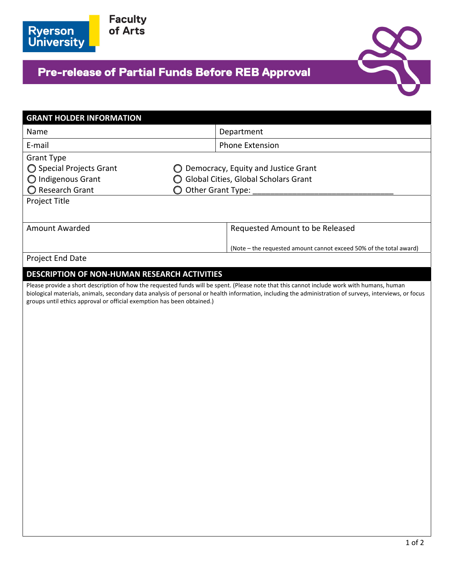

**Faculty**<br>of Arts

## **Pre-release of Partial Funds Before REB Approval**



| <b>GRANT HOLDER INFORMATION</b>                                                                |                                                                                                                                                                                                                                                                                                       |  |
|------------------------------------------------------------------------------------------------|-------------------------------------------------------------------------------------------------------------------------------------------------------------------------------------------------------------------------------------------------------------------------------------------------------|--|
| Name                                                                                           | Department                                                                                                                                                                                                                                                                                            |  |
| E-mail                                                                                         | <b>Phone Extension</b>                                                                                                                                                                                                                                                                                |  |
| <b>Grant Type</b><br>◯ Special Projects Grant<br>$\bigcirc$ Indigenous Grant<br>Research Grant | Democracy, Equity and Justice Grant<br>Global Cities, Global Scholars Grant<br>Other Grant Type:                                                                                                                                                                                                      |  |
| Project Title                                                                                  |                                                                                                                                                                                                                                                                                                       |  |
| Amount Awarded                                                                                 | Requested Amount to be Released                                                                                                                                                                                                                                                                       |  |
|                                                                                                | (Note - the requested amount cannot exceed 50% of the total award)                                                                                                                                                                                                                                    |  |
| Project End Date                                                                               |                                                                                                                                                                                                                                                                                                       |  |
| <b>DESCRIPTION OF NON-HUMAN RESEARCH ACTIVITIES</b>                                            |                                                                                                                                                                                                                                                                                                       |  |
| groups until ethics approval or official exemption has been obtained.)                         | Please provide a short description of how the requested funds will be spent. (Please note that this cannot include work with humans, human<br>biological materials, animals, secondary data analysis of personal or health information, including the administration of surveys, interviews, or focus |  |
|                                                                                                |                                                                                                                                                                                                                                                                                                       |  |